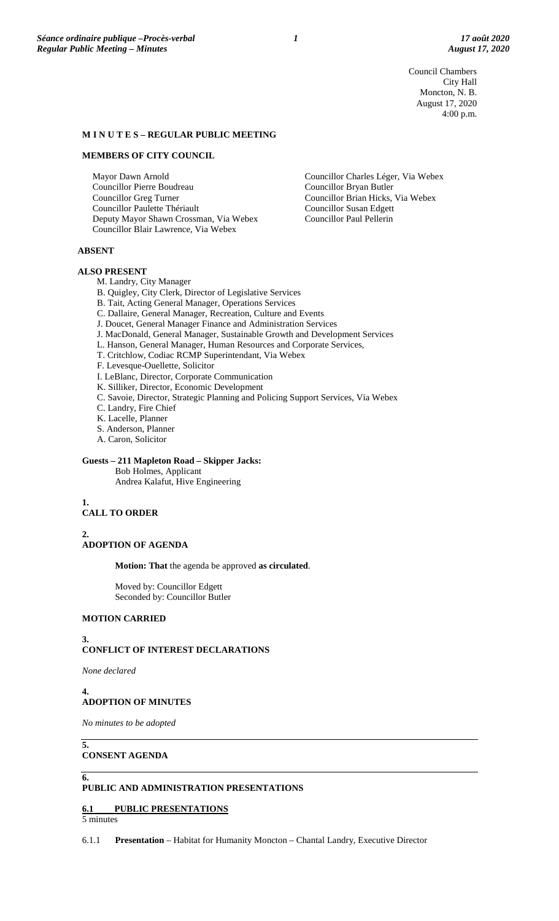Council Chambers City Hall Moncton, N. B. August 17, 2020 4:00 p.m.

### **M I N U T E S – REGULAR PUBLIC MEETING**

#### **MEMBERS OF CITY COUNCIL**

Mayor Dawn Arnold Councillor Pierre Boudreau Councillor Greg Turner Councillor Paulette Thériault Deputy Mayor Shawn Crossman, Via Webex Councillor Blair Lawrence, Via Webex

**ABSENT**

#### **ALSO PRESENT**

M. Landry, City Manager

- B. Quigley, City Clerk, Director of Legislative Services
- B. Tait, Acting General Manager, Operations Services
- C. Dallaire, General Manager, Recreation, Culture and Events
- J. Doucet, General Manager Finance and Administration Services
- J. MacDonald, General Manager, Sustainable Growth and Development Services
- L. Hanson, General Manager, Human Resources and Corporate Services,
- T. Critchlow, Codiac RCMP Superintendant, Via Webex
- F. Levesque-Ouellette, Solicitor
- I. LeBlanc, Director, Corporate Communication
- K. Silliker, Director, Economic Development
- C. Savoie, Director, Strategic Planning and Policing Support Services, Via Webex
- C. Landry, Fire Chief
- K. Lacelle, Planner
- S. Anderson, Planner
- A. Caron, Solicitor

#### **Guests – 211 Mapleton Road – Skipper Jacks:**

Bob Holmes, Applicant Andrea Kalafut, Hive Engineering

#### **1. CALL TO ORDER**

**2. ADOPTION OF AGENDA**

**Motion: That** the agenda be approved **as circulated**.

Moved by: Councillor Edgett Seconded by: Councillor Butler

# **MOTION CARRIED**

#### **3.**

## **CONFLICT OF INTEREST DECLARATIONS**

*None declared*

**4.**

# **ADOPTION OF MINUTES**

*No minutes to be adopted*

## **CONSENT AGENDA**

**6.**

**5.**

## **PUBLIC AND ADMINISTRATION PRESENTATIONS**

## **6.1 PUBLIC PRESENTATIONS**

5 minutes

6.1.1 **Presentation** – Habitat for Humanity Moncton – Chantal Landry, Executive Director

Councillor Charles Léger, Via Webex Councillor Bryan Butler Councillor Brian Hicks, Via Webex Councillor Susan Edgett Councillor Paul Pellerin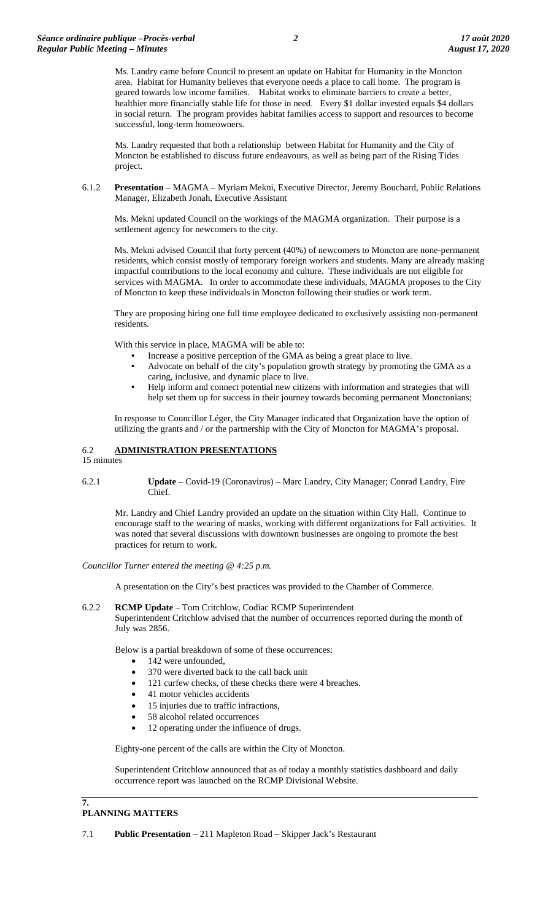Ms. Landry came before Council to present an update on Habitat for Humanity in the Moncton area. Habitat for Humanity believes that everyone needs a place to call home. The program is geared towards low income families. Habitat works to eliminate barriers to create a better, healthier more financially stable life for those in need. Every \$1 dollar invested equals \$4 dollars in social return. The program provides habitat families access to support and resources to become successful, long-term homeowners.

Ms. Landry requested that both a relationship between Habitat for Humanity and the City of Moncton be established to discuss future endeavours, as well as being part of the Rising Tides project.

6.1.2 **Presentation** – MAGMA – Myriam Mekni, Executive Director, Jeremy Bouchard, Public Relations Manager, Elizabeth Jonah, Executive Assistant

Ms. Mekni updated Council on the workings of the MAGMA organization. Their purpose is a settlement agency for newcomers to the city.

Ms. Mekni advised Council that forty percent (40%) of newcomers to Moncton are none-permanent residents, which consist mostly of temporary foreign workers and students. Many are already making impactful contributions to the local economy and culture. These individuals are not eligible for services with MAGMA. In order to accommodate these individuals, MAGMA proposes to the City of Moncton to keep these individuals in Moncton following their studies or work term.

They are proposing hiring one full time employee dedicated to exclusively assisting non-permanent residents.

With this service in place, MAGMA will be able to:

- Increase a positive perception of the GMA as being a great place to live.
- Advocate on behalf of the city's population growth strategy by promoting the GMA as a caring, inclusive, and dynamic place to live.
- Help inform and connect potential new citizens with information and strategies that will help set them up for success in their journey towards becoming permanent Monctonians;

In response to Councillor Léger, the City Manager indicated that Organization have the option of utilizing the grants and / or the partnership with the City of Moncton for MAGMA's proposal.

# 6.2 **ADMINISTRATION PRESENTATIONS**

15 minutes

6.2.1 **Update** – Covid-19 (Coronavirus) – Marc Landry, City Manager; Conrad Landry, Fire Chief.

Mr. Landry and Chief Landry provided an update on the situation within City Hall. Continue to encourage staff to the wearing of masks, working with different organizations for Fall activities. It was noted that several discussions with downtown businesses are ongoing to promote the best practices for return to work.

*Councillor Turner entered the meeting @ 4:25 p.m.*

A presentation on the City's best practices was provided to the Chamber of Commerce.

6.2.2 **RCMP Update** – Tom Critchlow, Codiac RCMP Superintendent Superintendent Critchlow advised that the number of occurrences reported during the month of July was 2856.

Below is a partial breakdown of some of these occurrences:

- 142 were unfounded.
- 370 were diverted back to the call back unit
- 121 curfew checks, of these checks there were 4 breaches.
- 41 motor vehicles accidents
- 15 injuries due to traffic infractions,
- 58 alcohol related occurrences
- 12 operating under the influence of drugs.

Eighty-one percent of the calls are within the City of Moncton.

Superintendent Critchlow announced that as of today a monthly statistics dashboard and daily occurrence report was launched on the RCMP Divisional Website.

## **7. PLANNING MATTERS**

7.1 **Public Presentation** – 211 Mapleton Road – Skipper Jack's Restaurant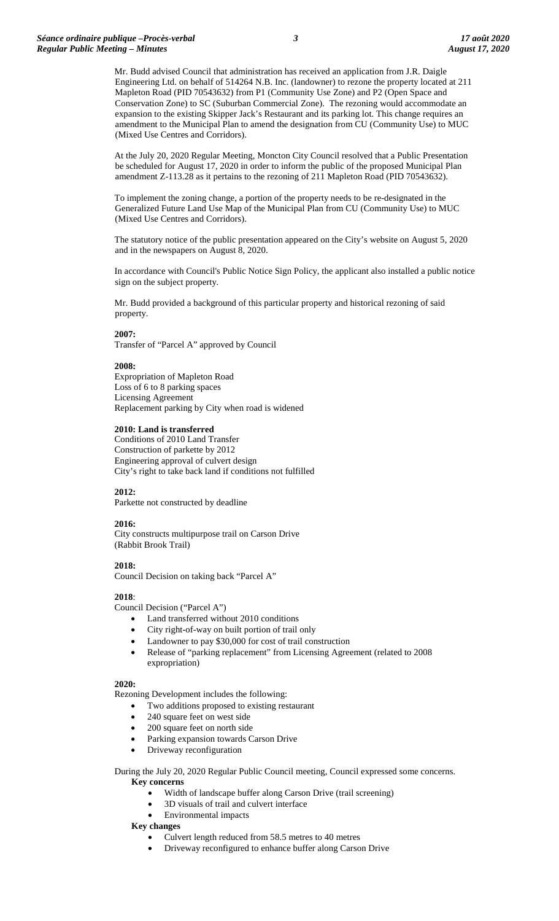Mr. Budd advised Council that administration has received an application from J.R. Daigle Engineering Ltd. on behalf of 514264 N.B. Inc. (landowner) to rezone the property located at 211 Mapleton Road (PID 70543632) from P1 (Community Use Zone) and P2 (Open Space and Conservation Zone) to SC (Suburban Commercial Zone). The rezoning would accommodate an expansion to the existing Skipper Jack's Restaurant and its parking lot. This change requires an amendment to the Municipal Plan to amend the designation from CU (Community Use) to MUC (Mixed Use Centres and Corridors).

At the July 20, 2020 Regular Meeting, Moncton City Council resolved that a Public Presentation be scheduled for August 17, 2020 in order to inform the public of the proposed Municipal Plan amendment Z-113.28 as it pertains to the rezoning of 211 Mapleton Road (PID 70543632).

To implement the zoning change, a portion of the property needs to be re-designated in the Generalized Future Land Use Map of the Municipal Plan from CU (Community Use) to MUC (Mixed Use Centres and Corridors).

The statutory notice of the public presentation appeared on the City's website on August 5, 2020 and in the newspapers on August 8, 2020.

In accordance with Council's Public Notice Sign Policy, the applicant also installed a public notice sign on the subject property.

Mr. Budd provided a background of this particular property and historical rezoning of said property.

## **2007:**

Transfer of "Parcel A" approved by Council

#### **2008:**

Expropriation of Mapleton Road Loss of 6 to 8 parking spaces Licensing Agreement Replacement parking by City when road is widened

#### **2010: Land is transferred**

Conditions of 2010 Land Transfer Construction of parkette by 2012 Engineering approval of culvert design City's right to take back land if conditions not fulfilled

## **2012:**

Parkette not constructed by deadline

## **2016:**

City constructs multipurpose trail on Carson Drive (Rabbit Brook Trail)

**2018:** 

Council Decision on taking back "Parcel A"

## **2018**:

Council Decision ("Parcel A")

- Land transferred without 2010 conditions
- City right-of-way on built portion of trail only
- Landowner to pay \$30,000 for cost of trail construction
- Release of "parking replacement" from Licensing Agreement (related to 2008 expropriation)

#### **2020:**

Rezoning Development includes the following:

- Two additions proposed to existing restaurant
- 240 square feet on west side
- 200 square feet on north side
- Parking expansion towards Carson Drive
- Driveway reconfiguration

During the July 20, 2020 Regular Public Council meeting, Council expressed some concerns. **Key concerns**

- Width of landscape buffer along Carson Drive (trail screening)
- 3D visuals of trail and culvert interface
- Environmental impacts

## **Key changes**

- Culvert length reduced from 58.5 metres to 40 metres
- Driveway reconfigured to enhance buffer along Carson Drive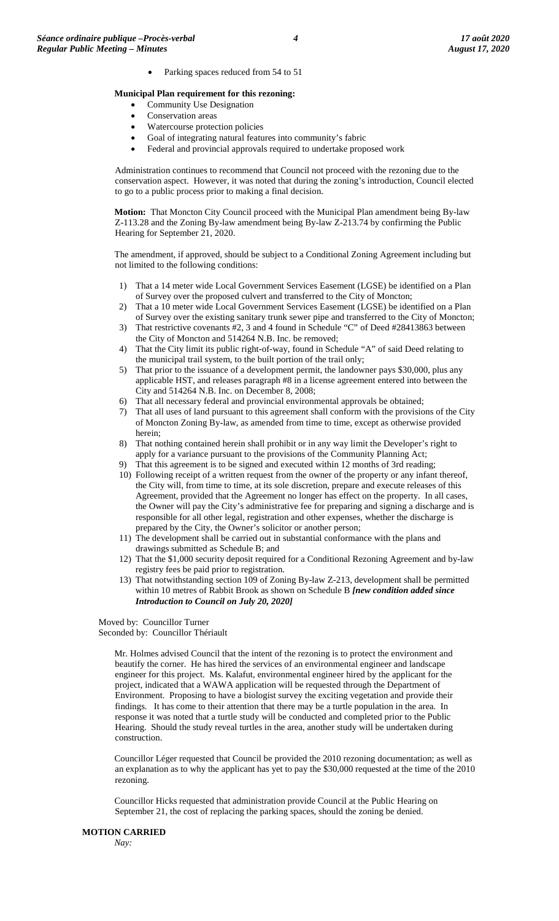Parking spaces reduced from 54 to 51

## **Municipal Plan requirement for this rezoning:**

- Community Use Designation
- Conservation areas
- Watercourse protection policies
- Goal of integrating natural features into community's fabric
- Federal and provincial approvals required to undertake proposed work

Administration continues to recommend that Council not proceed with the rezoning due to the conservation aspect. However, it was noted that during the zoning's introduction, Council elected to go to a public process prior to making a final decision.

**Motion:** That Moncton City Council proceed with the Municipal Plan amendment being By-law Z-113.28 and the Zoning By-law amendment being By-law Z-213.74 by confirming the Public Hearing for September 21, 2020.

The amendment, if approved, should be subject to a Conditional Zoning Agreement including but not limited to the following conditions:

- 1) That a 14 meter wide Local Government Services Easement (LGSE) be identified on a Plan of Survey over the proposed culvert and transferred to the City of Moncton;
- 2) That a 10 meter wide Local Government Services Easement (LGSE) be identified on a Plan of Survey over the existing sanitary trunk sewer pipe and transferred to the City of Moncton;
- 3) That restrictive covenants #2, 3 and 4 found in Schedule "C" of Deed #28413863 between the City of Moncton and 514264 N.B. Inc. be removed;
- 4) That the City limit its public right-of-way, found in Schedule "A" of said Deed relating to the municipal trail system, to the built portion of the trail only;
- 5) That prior to the issuance of a development permit, the landowner pays \$30,000, plus any applicable HST, and releases paragraph #8 in a license agreement entered into between the City and 514264 N.B. Inc. on December 8, 2008;
- 6) That all necessary federal and provincial environmental approvals be obtained;
- 7) That all uses of land pursuant to this agreement shall conform with the provisions of the City of Moncton Zoning By-law, as amended from time to time, except as otherwise provided herein;
- 8) That nothing contained herein shall prohibit or in any way limit the Developer's right to apply for a variance pursuant to the provisions of the Community Planning Act;
- 9) That this agreement is to be signed and executed within 12 months of 3rd reading;
- 10) Following receipt of a written request from the owner of the property or any infant thereof, the City will, from time to time, at its sole discretion, prepare and execute releases of this Agreement, provided that the Agreement no longer has effect on the property. In all cases, the Owner will pay the City's administrative fee for preparing and signing a discharge and is responsible for all other legal, registration and other expenses, whether the discharge is prepared by the City, the Owner's solicitor or another person;
- 11) The development shall be carried out in substantial conformance with the plans and drawings submitted as Schedule B; and
- 12) That the \$1,000 security deposit required for a Conditional Rezoning Agreement and by-law registry fees be paid prior to registration.
- 13) That notwithstanding section 109 of Zoning By-law Z-213, development shall be permitted within 10 metres of Rabbit Brook as shown on Schedule B *[new condition added since Introduction to Council on July 20, 2020]*

Moved by: Councillor Turner Seconded by: Councillor Thériault

> Mr. Holmes advised Council that the intent of the rezoning is to protect the environment and beautify the corner. He has hired the services of an environmental engineer and landscape engineer for this project. Ms. Kalafut, environmental engineer hired by the applicant for the project, indicated that a WAWA application will be requested through the Department of Environment. Proposing to have a biologist survey the exciting vegetation and provide their findings. It has come to their attention that there may be a turtle population in the area. In response it was noted that a turtle study will be conducted and completed prior to the Public Hearing. Should the study reveal turtles in the area, another study will be undertaken during construction.

Councillor Léger requested that Council be provided the 2010 rezoning documentation; as well as an explanation as to why the applicant has yet to pay the \$30,000 requested at the time of the 2010 rezoning.

Councillor Hicks requested that administration provide Council at the Public Hearing on September 21, the cost of replacing the parking spaces, should the zoning be denied.

### **MOTION CARRIED**

*Nay:*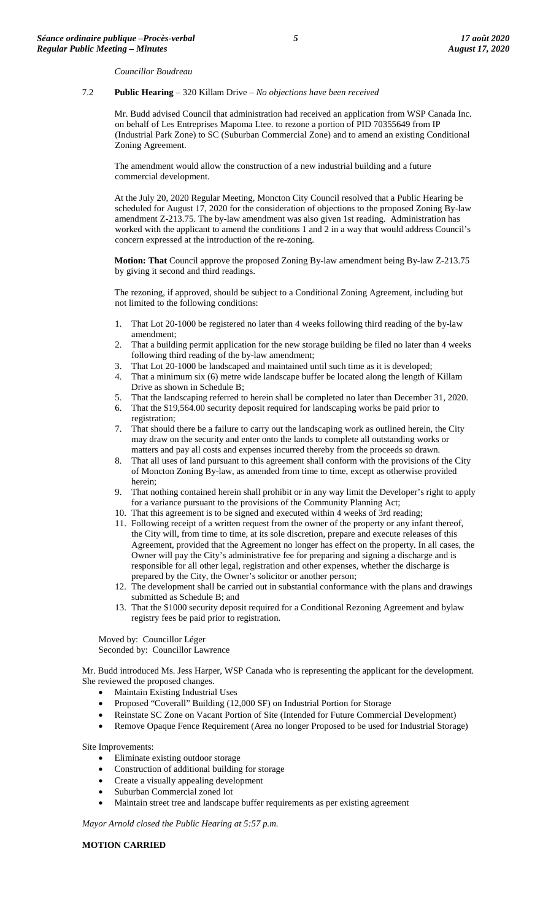*Councillor Boudreau*

## 7.2 **Public Hearing** – 320 Killam Drive – *No objections have been received*

Mr. Budd advised Council that administration had received an application from WSP Canada Inc. on behalf of Les Entreprises Mapoma Ltee. to rezone a portion of PID 70355649 from IP (Industrial Park Zone) to SC (Suburban Commercial Zone) and to amend an existing Conditional Zoning Agreement.

The amendment would allow the construction of a new industrial building and a future commercial development.

At the July 20, 2020 Regular Meeting, Moncton City Council resolved that a Public Hearing be scheduled for August 17, 2020 for the consideration of objections to the proposed Zoning By-law amendment Z-213.75. The by-law amendment was also given 1st reading. Administration has worked with the applicant to amend the conditions 1 and 2 in a way that would address Council's concern expressed at the introduction of the re-zoning.

**Motion: That** Council approve the proposed Zoning By-law amendment being By-law Z-213.75 by giving it second and third readings.

The rezoning, if approved, should be subject to a Conditional Zoning Agreement, including but not limited to the following conditions:

- 1. That Lot 20-1000 be registered no later than 4 weeks following third reading of the by-law amendment;
- 2. That a building permit application for the new storage building be filed no later than 4 weeks following third reading of the by-law amendment;
- 3. That Lot 20-1000 be landscaped and maintained until such time as it is developed;
- 4. That a minimum six (6) metre wide landscape buffer be located along the length of Killam Drive as shown in Schedule B;
- 5. That the landscaping referred to herein shall be completed no later than December 31, 2020.
- 6. That the \$19,564.00 security deposit required for landscaping works be paid prior to registration;
- 7. That should there be a failure to carry out the landscaping work as outlined herein, the City may draw on the security and enter onto the lands to complete all outstanding works or matters and pay all costs and expenses incurred thereby from the proceeds so drawn.
- 8. That all uses of land pursuant to this agreement shall conform with the provisions of the City of Moncton Zoning By-law, as amended from time to time, except as otherwise provided herein;
- 9. That nothing contained herein shall prohibit or in any way limit the Developer's right to apply for a variance pursuant to the provisions of the Community Planning Act;
- 10. That this agreement is to be signed and executed within 4 weeks of 3rd reading;
- 11. Following receipt of a written request from the owner of the property or any infant thereof, the City will, from time to time, at its sole discretion, prepare and execute releases of this Agreement, provided that the Agreement no longer has effect on the property. In all cases, the Owner will pay the City's administrative fee for preparing and signing a discharge and is responsible for all other legal, registration and other expenses, whether the discharge is prepared by the City, the Owner's solicitor or another person;
- 12. The development shall be carried out in substantial conformance with the plans and drawings submitted as Schedule B; and
- 13. That the \$1000 security deposit required for a Conditional Rezoning Agreement and bylaw registry fees be paid prior to registration.

Moved by: Councillor Léger Seconded by: Councillor Lawrence

Mr. Budd introduced Ms. Jess Harper, WSP Canada who is representing the applicant for the development. She reviewed the proposed changes.

- Maintain Existing Industrial Uses
- Proposed "Coverall" Building (12,000 SF) on Industrial Portion for Storage
- Reinstate SC Zone on Vacant Portion of Site (Intended for Future Commercial Development)
- Remove Opaque Fence Requirement (Area no longer Proposed to be used for Industrial Storage)

Site Improvements:

- Eliminate existing outdoor storage
- Construction of additional building for storage
- Create a visually appealing development
- Suburban Commercial zoned lot
- Maintain street tree and landscape buffer requirements as per existing agreement

*Mayor Arnold closed the Public Hearing at 5:57 p.m.*

**MOTION CARRIED**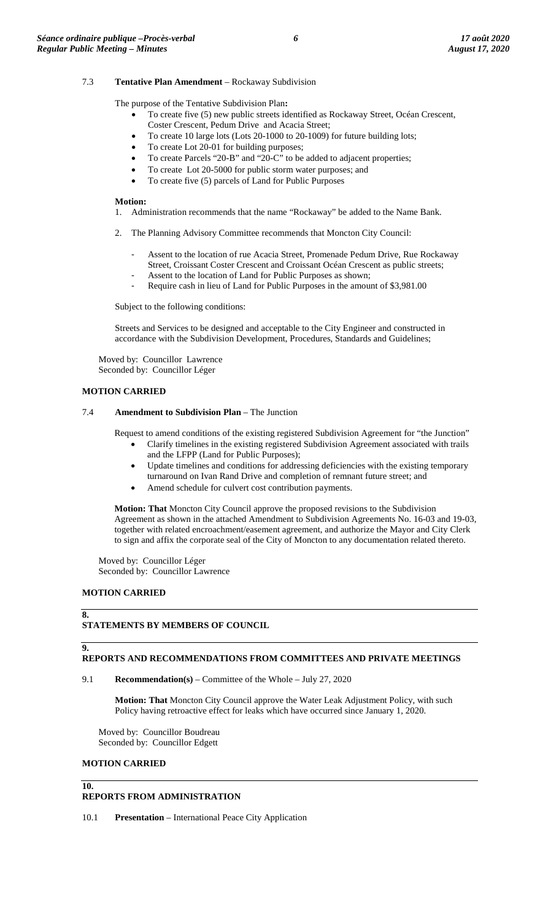## 7.3 **Tentative Plan Amendment** – Rockaway Subdivision

The purpose of the Tentative Subdivision Plan**:**

- To create five (5) new public streets identified as Rockaway Street, Océan Crescent, Coster Crescent, Pedum Drive and Acacia Street;
- To create 10 large lots (Lots 20-1000 to 20-1009) for future building lots;
- To create Lot 20-01 for building purposes;
- To create Parcels "20-B" and "20-C" to be added to adjacent properties;
- To create Lot 20-5000 for public storm water purposes; and
- To create five (5) parcels of Land for Public Purposes

#### **Motion:**

- 1. Administration recommends that the name "Rockaway" be added to the Name Bank.
- 2. The Planning Advisory Committee recommends that Moncton City Council:
	- Assent to the location of rue Acacia Street, Promenade Pedum Drive, Rue Rockaway
	- Street, Croissant Coster Crescent and Croissant Océan Crescent as public streets;
	- Assent to the location of Land for Public Purposes as shown;
	- Require cash in lieu of Land for Public Purposes in the amount of \$3,981.00

Subject to the following conditions:

Streets and Services to be designed and acceptable to the City Engineer and constructed in accordance with the Subdivision Development, Procedures, Standards and Guidelines;

Moved by: Councillor Lawrence Seconded by: Councillor Léger

## **MOTION CARRIED**

## 7.4 **Amendment to Subdivision Plan** – The Junction

Request to amend conditions of the existing registered Subdivision Agreement for "the Junction"

- Clarify timelines in the existing registered Subdivision Agreement associated with trails and the LFPP (Land for Public Purposes);
- Update timelines and conditions for addressing deficiencies with the existing temporary turnaround on Ivan Rand Drive and completion of remnant future street; and
- Amend schedule for culvert cost contribution payments.

**Motion: That** Moncton City Council approve the proposed revisions to the Subdivision Agreement as shown in the attached Amendment to Subdivision Agreements No. 16-03 and 19-03, together with related encroachment/easement agreement, and authorize the Mayor and City Clerk to sign and affix the corporate seal of the City of Moncton to any documentation related thereto.

Moved by: Councillor Léger Seconded by: Councillor Lawrence

## **MOTION CARRIED**

**8.**

**9.**

**10.**

#### **STATEMENTS BY MEMBERS OF COUNCIL**

## **REPORTS AND RECOMMENDATIONS FROM COMMITTEES AND PRIVATE MEETINGS**

## 9.1 **Recommendation(s)** – Committee of the Whole – July 27, 2020

**Motion: That** Moncton City Council approve the Water Leak Adjustment Policy, with such Policy having retroactive effect for leaks which have occurred since January 1, 2020.

Moved by: Councillor Boudreau Seconded by: Councillor Edgett

#### **MOTION CARRIED**

## **REPORTS FROM ADMINISTRATION**

10.1 **Presentation** – International Peace City Application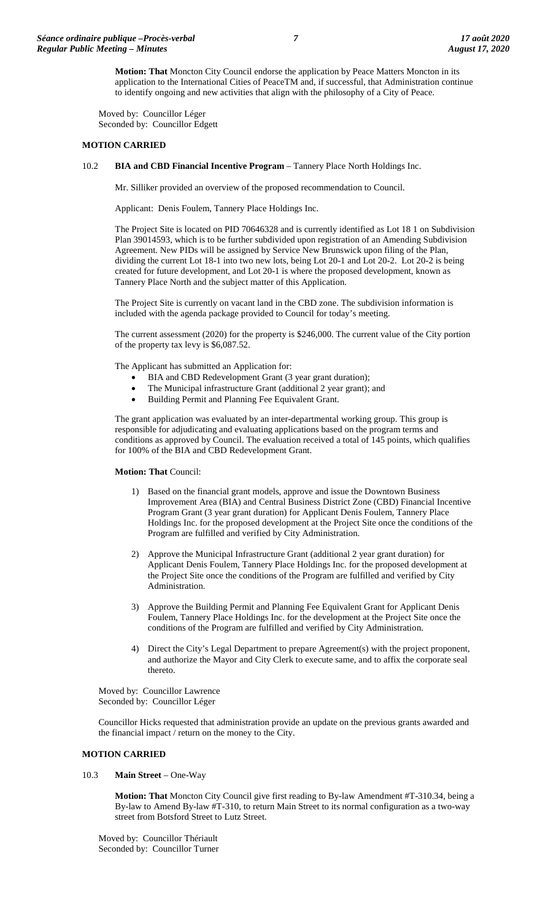**Motion: That** Moncton City Council endorse the application by Peace Matters Moncton in its application to the International Cities of PeaceTM and, if successful, that Administration continue to identify ongoing and new activities that align with the philosophy of a City of Peace.

Moved by: Councillor Léger Seconded by: Councillor Edgett

## **MOTION CARRIED**

10.2 **BIA and CBD Financial Incentive Program** – Tannery Place North Holdings Inc.

Mr. Silliker provided an overview of the proposed recommendation to Council.

Applicant: Denis Foulem, Tannery Place Holdings Inc.

The Project Site is located on PID 70646328 and is currently identified as Lot 18 1 on Subdivision Plan 39014593, which is to be further subdivided upon registration of an Amending Subdivision Agreement. New PIDs will be assigned by Service New Brunswick upon filing of the Plan, dividing the current Lot 18-1 into two new lots, being Lot 20-1 and Lot 20-2. Lot 20-2 is being created for future development, and Lot 20-1 is where the proposed development, known as Tannery Place North and the subject matter of this Application.

The Project Site is currently on vacant land in the CBD zone. The subdivision information is included with the agenda package provided to Council for today's meeting.

The current assessment (2020) for the property is \$246,000. The current value of the City portion of the property tax levy is \$6,087.52.

The Applicant has submitted an Application for:

- BIA and CBD Redevelopment Grant (3 year grant duration);
- The Municipal infrastructure Grant (additional 2 year grant); and
- Building Permit and Planning Fee Equivalent Grant.

The grant application was evaluated by an inter-departmental working group. This group is responsible for adjudicating and evaluating applications based on the program terms and conditions as approved by Council. The evaluation received a total of 145 points, which qualifies for 100% of the BIA and CBD Redevelopment Grant.

**Motion: That** Council:

- 1) Based on the financial grant models, approve and issue the Downtown Business Improvement Area (BIA) and Central Business District Zone (CBD) Financial Incentive Program Grant (3 year grant duration) for Applicant Denis Foulem, Tannery Place Holdings Inc. for the proposed development at the Project Site once the conditions of the Program are fulfilled and verified by City Administration.
- 2) Approve the Municipal Infrastructure Grant (additional 2 year grant duration) for Applicant Denis Foulem, Tannery Place Holdings Inc. for the proposed development at the Project Site once the conditions of the Program are fulfilled and verified by City Administration.
- 3) Approve the Building Permit and Planning Fee Equivalent Grant for Applicant Denis Foulem, Tannery Place Holdings Inc. for the development at the Project Site once the conditions of the Program are fulfilled and verified by City Administration.
- 4) Direct the City's Legal Department to prepare Agreement(s) with the project proponent, and authorize the Mayor and City Clerk to execute same, and to affix the corporate seal thereto.

Moved by: Councillor Lawrence Seconded by: Councillor Léger

Councillor Hicks requested that administration provide an update on the previous grants awarded and the financial impact / return on the money to the City.

#### **MOTION CARRIED**

10.3 **Main Street** – One-Way

**Motion: That** Moncton City Council give first reading to By-law Amendment #T-310.34, being a By-law to Amend By-law #T-310, to return Main Street to its normal configuration as a two-way street from Botsford Street to Lutz Street.

Moved by: Councillor Thériault Seconded by: Councillor Turner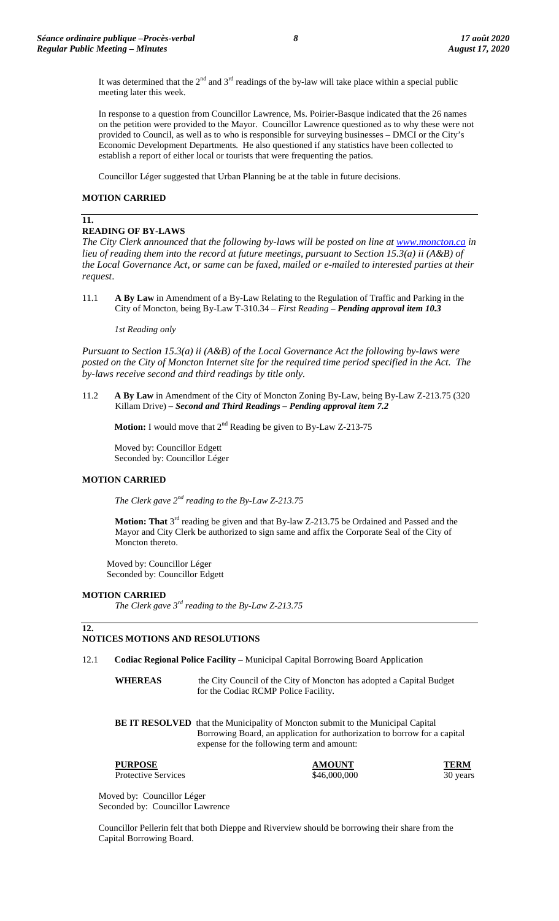It was determined that the  $2<sup>nd</sup>$  and  $3<sup>rd</sup>$  readings of the by-law will take place within a special public meeting later this week.

In response to a question from Councillor Lawrence, Ms. Poirier-Basque indicated that the 26 names on the petition were provided to the Mayor. Councillor Lawrence questioned as to why these were not provided to Council, as well as to who is responsible for surveying businesses – DMCI or the City's Economic Development Departments. He also questioned if any statistics have been collected to establish a report of either local or tourists that were frequenting the patios.

Councillor Léger suggested that Urban Planning be at the table in future decisions.

## **MOTION CARRIED**

## **11.**

## **READING OF BY-LAWS**

*The City Clerk announced that the following by-laws will be posted on line at [www.moncton.ca](http://www.moncton.ca/) in lieu of reading them into the record at future meetings, pursuant to Section 15.3(a) ii (A&B) of the Local Governance Act, or same can be faxed, mailed or e-mailed to interested parties at their request*.

11.1 **A By Law** in Amendment of a By-Law Relating to the Regulation of Traffic and Parking in the City of Moncton, being By-Law T-310.34 – *First Reading – Pending approval item 10.3*

#### *1st Reading only*

*Pursuant to Section 15.3(a) ii (A&B) of the Local Governance Act the following by-laws were posted on the City of Moncton Internet site for the required time period specified in the Act. The by-laws receive second and third readings by title only.*

11.2 **A By Law** in Amendment of the City of Moncton Zoning By-Law, being By-Law Z-213.75 (320 Killam Drive) *– Second and Third Readings – Pending approval item 7.2*

**Motion:** I would move that 2<sup>nd</sup> Reading be given to By-Law Z-213-75

Moved by: Councillor Edgett Seconded by: Councillor Léger

## **MOTION CARRIED**

*The Clerk gave 2nd reading to the By-Law Z-213.75*

**Motion: That** 3<sup>rd</sup> reading be given and that By-law Z-213.75 be Ordained and Passed and the Mayor and City Clerk be authorized to sign same and affix the Corporate Seal of the City of Moncton thereto.

Moved by: Councillor Léger Seconded by: Councillor Edgett

## **MOTION CARRIED**

*The Clerk gave 3rd reading to the By-Law Z-213.75*

## **12.**

# **NOTICES MOTIONS AND RESOLUTIONS**

- 12.1 **Codiac Regional Police Facility** Municipal Capital Borrowing Board Application
	- **WHEREAS** the City Council of the City of Moncton has adopted a Capital Budget for the Codiac RCMP Police Facility.

**BE IT RESOLVED** that the Municipality of Moncton submit to the Municipal Capital Borrowing Board, an application for authorization to borrow for a capital expense for the following term and amount:

**PURPOSE AMOUNT TERM**

Protective Services  $$46,000,000$  30 years 30

Moved by: Councillor Léger Seconded by: Councillor Lawrence

Councillor Pellerin felt that both Dieppe and Riverview should be borrowing their share from the Capital Borrowing Board.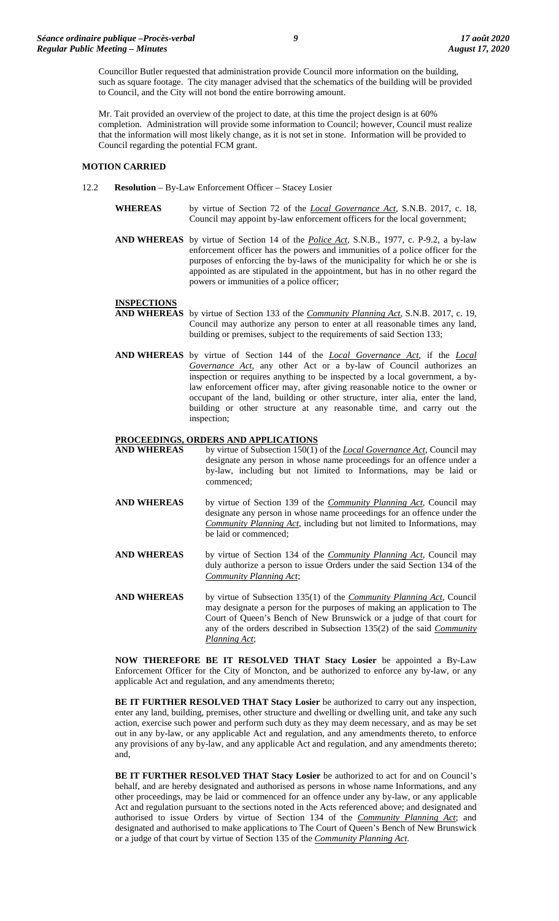Councillor Butler requested that administration provide Council more information on the building, such as square footage. The city manager advised that the schematics of the building will be provided to Council, and the City will not bond the entire borrowing amount.

Mr. Tait provided an overview of the project to date, at this time the project design is at 60% completion. Administration will provide some information to Council; however, Council must realize that the information will most likely change, as it is not set in stone. Information will be provided to Council regarding the potential FCM grant.

## **MOTION CARRIED**

- 12.2 **Resolution** By-Law Enforcement Officer Stacey Losier
	- **WHEREAS** by virtue of Section 72 of the *Local Governance Act*, S.N.B. 2017, c. 18, Council may appoint by-law enforcement officers for the local government;
	- **AND WHEREAS** by virtue of Section 14 of the *Police Act*, S.N.B., 1977, c. P-9.2, a by-law enforcement officer has the powers and immunities of a police officer for the purposes of enforcing the by-laws of the municipality for which he or she is appointed as are stipulated in the appointment, but has in no other regard the powers or immunities of a police officer;

## **INSPECTIONS**

- **AND WHEREAS** by virtue of Section 133 of the *Community Planning Act*, S.N.B. 2017, c. 19, Council may authorize any person to enter at all reasonable times any land, building or premises, subject to the requirements of said Section 133;
- **AND WHEREAS** by virtue of Section 144 of the *Local Governance Act*, if the *Local Governance Act,* any other Act or a by-law of Council authorizes an inspection or requires anything to be inspected by a local government, a bylaw enforcement officer may, after giving reasonable notice to the owner or occupant of the land, building or other structure, inter alia, enter the land, building or other structure at any reasonable time, and carry out the inspection;

# **PROCEEDINGS, ORDERS AND APPLICATIONS**<br>**AND WHEREAS** by virtue of Subsection 150(1)

- by virtue of Subsection 150(1) of the *Local Governance Act*, Council may designate any person in whose name proceedings for an offence under a by-law, including but not limited to Informations, may be laid or commenced;
- **AND WHEREAS** by virtue of Section 139 of the *Community Planning Act*, Council may designate any person in whose name proceedings for an offence under the *Community Planning Act*, including but not limited to Informations, may be laid or commenced;
- **AND WHEREAS** by virtue of Section 134 of the *Community Planning Act*, Council may duly authorize a person to issue Orders under the said Section 134 of the *Community Planning Act*;
- **AND WHEREAS** by virtue of Subsection 135(1) of the *Community Planning Act*, Council may designate a person for the purposes of making an application to The Court of Queen's Bench of New Brunswick or a judge of that court for any of the orders described in Subsection 135(2) of the said *Community Planning Act*;

**NOW THEREFORE BE IT RESOLVED THAT Stacy Losier** be appointed a By-Law Enforcement Officer for the City of Moncton, and be authorized to enforce any by-law, or any applicable Act and regulation, and any amendments thereto;

**BE IT FURTHER RESOLVED THAT Stacy Losier** be authorized to carry out any inspection, enter any land, building, premises, other structure and dwelling or dwelling unit, and take any such action, exercise such power and perform such duty as they may deem necessary, and as may be set out in any by-law, or any applicable Act and regulation, and any amendments thereto, to enforce any provisions of any by-law, and any applicable Act and regulation, and any amendments thereto; and,

**BE IT FURTHER RESOLVED THAT Stacy Losier** be authorized to act for and on Council's behalf, and are hereby designated and authorised as persons in whose name Informations, and any other proceedings, may be laid or commenced for an offence under any by-law, or any applicable Act and regulation pursuant to the sections noted in the Acts referenced above; and designated and authorised to issue Orders by virtue of Section 134 of the *Community Planning Act*; and designated and authorised to make applications to The Court of Queen's Bench of New Brunswick or a judge of that court by virtue of Section 135 of the *Community Planning Act*.